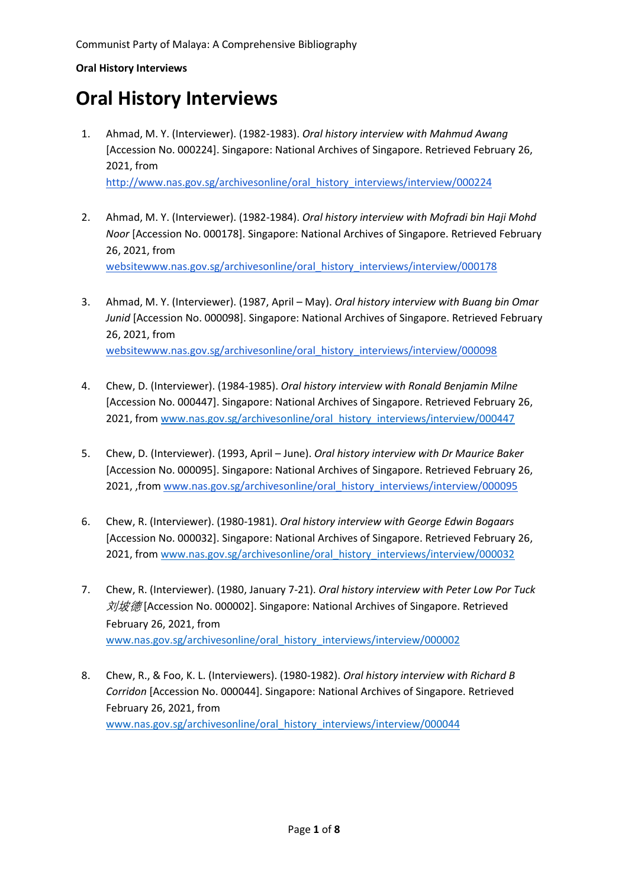# **Oral History Interviews**

- 1. Ahmad, M. Y. (Interviewer). (1982-1983). *Oral history interview with Mahmud Awang* [Accession No. 000224]. Singapore: National Archives of Singapore. Retrieved February 26, 2021, from [http://www.nas.gov.sg/archivesonline/oral\\_history\\_interviews/interview/000224](http://www.nas.gov.sg/archivesonline/oral_history_interviews/interview/000224)
- 2. Ahmad, M. Y. (Interviewer). (1982-1984). *Oral history interview with Mofradi bin Haji Mohd Noor* [Accession No. 000178]. Singapore: National Archives of Singapore. Retrieved February 26, 2021, from [websitewww.nas.gov.sg/archivesonline/oral\\_history\\_interviews/interview/000178](http://www.nas.gov.sg/archivesonline/oral_history_interviews/interview/000178)
- 3. Ahmad, M. Y. (Interviewer). (1987, April May). *Oral history interview with Buang bin Omar Junid* [Accession No. 000098]. Singapore: National Archives of Singapore. Retrieved February 26, 2021, from [websitewww.nas.gov.sg/archivesonline/oral\\_history\\_interviews/interview/000098](http://www.nas.gov.sg/archivesonline/oral_history_interviews/interview/000098)
- 4. Chew, D. (Interviewer). (1984-1985). *Oral history interview with Ronald Benjamin Milne* [Accession No. 000447]. Singapore: National Archives of Singapore. Retrieved February 26, 2021, from [www.nas.gov.sg/archivesonline/oral\\_history\\_interviews/interview/000447](http://www.nas.gov.sg/archivesonline/oral_history_interviews/interview/000447)
- 5. Chew, D. (Interviewer). (1993, April June). *Oral history interview with Dr Maurice Baker* [Accession No. 000095]. Singapore: National Archives of Singapore. Retrieved February 26, 2021, ,from [www.nas.gov.sg/archivesonline/oral\\_history\\_interviews/interview/000095](http://www.nas.gov.sg/archivesonline/oral_history_interviews/interview/000095)
- 6. Chew, R. (Interviewer). (1980-1981). *Oral history interview with George Edwin Bogaars* [Accession No. 000032]. Singapore: National Archives of Singapore. Retrieved February 26, 2021, from [www.nas.gov.sg/archivesonline/oral\\_history\\_interviews/interview/000032](http://www.nas.gov.sg/archivesonline/oral_history_interviews/interview/000032)
- 7. Chew, R. (Interviewer). (1980, January 7-21). *Oral history interview with Peter Low Por Tuck*  $\frac{\partial \mathcal{A}}{\partial \mathcal{B}}$  [Accession No. 000002]. Singapore: National Archives of Singapore. Retrieved February 26, 2021, from [www.nas.gov.sg/archivesonline/oral\\_history\\_interviews/interview/000002](http://www.nas.gov.sg/archivesonline/oral_history_interviews/interview/000002)
- 8. Chew, R., & Foo, K. L. (Interviewers). (1980-1982). *Oral history interview with Richard B Corridon* [Accession No. 000044]. Singapore: National Archives of Singapore. Retrieved February 26, 2021, from [www.nas.gov.sg/archivesonline/oral\\_history\\_interviews/interview/000044](http://www.nas.gov.sg/archivesonline/oral_history_interviews/interview/000044)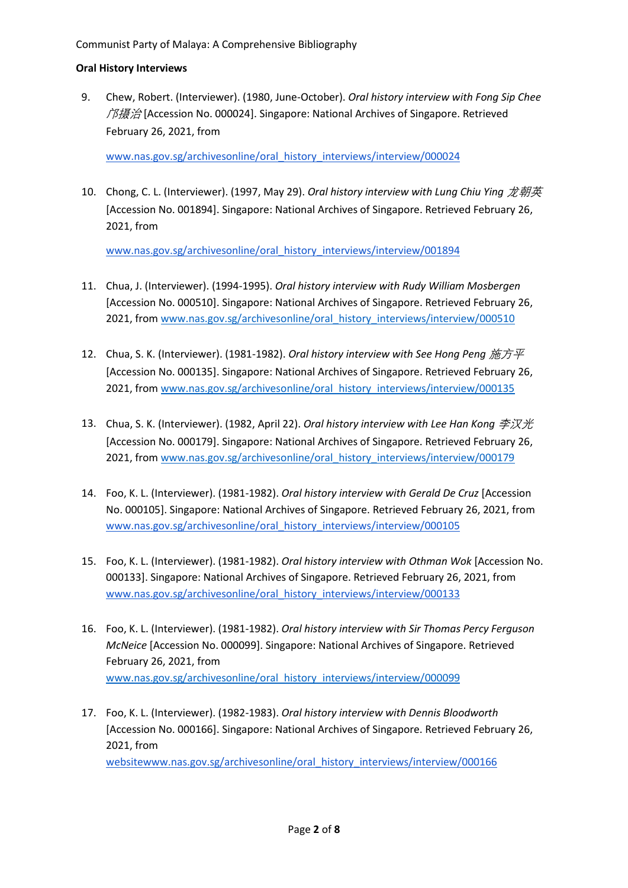9. Chew, Robert. (Interviewer). (1980, June-October). *Oral history interview with Fong Sip Chee*  $\hat{\beta}$  / $\hat{\beta}$  [Accession No. 000024]. Singapore: National Archives of Singapore. Retrieved February 26, 2021, from

[www.nas.gov.sg/archivesonline/oral\\_history\\_interviews/interview/000024](http://www.nas.gov.sg/archivesonline/oral_history_interviews/interview/000024)

10. Chong, C. L. (Interviewer). (1997, May 29). *Oral history interview with Lung Chiu Ying* 龙朝英 [Accession No. 001894]. Singapore: National Archives of Singapore. Retrieved February 26, 2021, from

- 11. Chua, J. (Interviewer). (1994-1995). *Oral history interview with Rudy William Mosbergen* [Accession No. 000510]. Singapore: National Archives of Singapore. Retrieved February 26, 2021, from [www.nas.gov.sg/archivesonline/oral\\_history\\_interviews/interview/000510](http://www.nas.gov.sg/archivesonline/oral_history_interviews/interview/000510)
- 12. Chua, S. K. (Interviewer). (1981-1982). *Oral history interview with See Hong Peng* 施方平 [Accession No. 000135]. Singapore: National Archives of Singapore. Retrieved February 26, 2021, from [www.nas.gov.sg/archivesonline/oral\\_history\\_interviews/interview/000135](http://www.nas.gov.sg/archivesonline/oral_history_interviews/interview/000135)
- 13. Chua, S. K. (Interviewer). (1982, April 22). *Oral history interview with Lee Han Kong* 李汉光 [Accession No. 000179]. Singapore: National Archives of Singapore. Retrieved February 26, 2021, from [www.nas.gov.sg/archivesonline/oral\\_history\\_interviews/interview/000179](http://www.nas.gov.sg/archivesonline/oral_history_interviews/interview/000179)
- 14. Foo, K. L. (Interviewer). (1981-1982). *Oral history interview with Gerald De Cruz* [Accession No. 000105]. Singapore: National Archives of Singapore. Retrieved February 26, 2021, from [www.nas.gov.sg/archivesonline/oral\\_history\\_interviews/interview/000105](http://www.nas.gov.sg/archivesonline/oral_history_interviews/interview/000105)
- 15. Foo, K. L. (Interviewer). (1981-1982). *Oral history interview with Othman Wok* [Accession No. 000133]. Singapore: National Archives of Singapore. Retrieved February 26, 2021, from [www.nas.gov.sg/archivesonline/oral\\_history\\_interviews/interview/000133](http://www.nas.gov.sg/archivesonline/oral_history_interviews/interview/000133)
- 16. Foo, K. L. (Interviewer). (1981-1982). *Oral history interview with Sir Thomas Percy Ferguson McNeice* [Accession No. 000099]. Singapore: National Archives of Singapore. Retrieved February 26, 2021, from [www.nas.gov.sg/archivesonline/oral\\_history\\_interviews/interview/000099](http://www.nas.gov.sg/archivesonline/oral_history_interviews/interview/000099)
- 17. Foo, K. L. (Interviewer). (1982-1983). *Oral history interview with Dennis Bloodworth* [Accession No. 000166]. Singapore: National Archives of Singapore. Retrieved February 26, 2021, from [websitewww.nas.gov.sg/archivesonline/oral\\_history\\_interviews/interview/000166](http://www.nas.gov.sg/archivesonline/oral_history_interviews/interview/000166)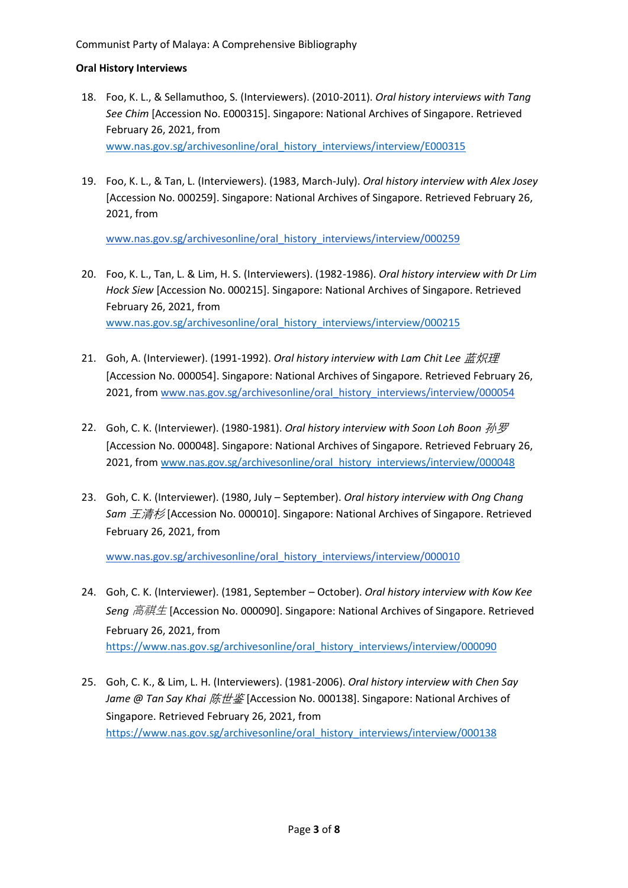- 18. Foo, K. L., & Sellamuthoo, S. (Interviewers). (2010-2011). *Oral history interviews with Tang See Chim* [Accession No. E000315]. Singapore: National Archives of Singapore. Retrieved February 26, 2021, from [www.nas.gov.sg/archivesonline/oral\\_history\\_interviews/interview/E000315](http://www.nas.gov.sg/archivesonline/oral_history_interviews/interview/E000315)
- 19. Foo, K. L., & Tan, L. (Interviewers). (1983, March-July). *Oral history interview with Alex Josey* [Accession No. 000259]. Singapore: National Archives of Singapore. Retrieved February 26, 2021, from

[www.nas.gov.sg/archivesonline/oral\\_history\\_interviews/interview/000259](http://www.nas.gov.sg/archivesonline/oral_history_interviews/interview/000259)

- 20. Foo, K. L., Tan, L. & Lim, H. S. (Interviewers). (1982-1986). *Oral history interview with Dr Lim Hock Siew* [Accession No. 000215]. Singapore: National Archives of Singapore. Retrieved February 26, 2021, from [www.nas.gov.sg/archivesonline/oral\\_history\\_interviews/interview/000215](http://www.nas.gov.sg/archivesonline/oral_history_interviews/interview/000215)
- 21. Goh, A. (Interviewer). (1991-1992). *Oral history interview with Lam Chit Lee* 蓝炽理 [Accession No. 000054]. Singapore: National Archives of Singapore. Retrieved February 26, 2021, from [www.nas.gov.sg/archivesonline/oral\\_history\\_interviews/interview/000054](http://www.nas.gov.sg/archivesonline/oral_history_interviews/interview/000054)
- 22. Goh, C. K. (Interviewer). (1980-1981). *Oral history interview with Soon Loh Boon* 孙罗 [Accession No. 000048]. Singapore: National Archives of Singapore. Retrieved February 26, 2021, from [www.nas.gov.sg/archivesonline/oral\\_history\\_interviews/interview/000048](http://www.nas.gov.sg/archivesonline/oral_history_interviews/interview/000048)
- 23. Goh, C. K. (Interviewer). (1980, July September). *Oral history interview with Ong Chang Sam* 王清杉 [Accession No. 000010]. Singapore: National Archives of Singapore. Retrieved February 26, 2021, from

- 24. Goh, C. K. (Interviewer). (1981, September October). *Oral history interview with Kow Kee Seng* 高祺生 [Accession No. 000090]. Singapore: National Archives of Singapore. Retrieved February 26, 2021, from [https://www.nas.gov.sg/archivesonline/oral\\_history\\_interviews/interview/000090](https://www.nas.gov.sg/archivesonline/oral_history_interviews/interview/000090)
- 25. Goh, C. K., & Lim, L. H. (Interviewers). (1981-2006). *Oral history interview with Chen Say Jame @ Tan Say Khai* 陈世鉴 [Accession No. 000138]. Singapore: National Archives of Singapore. Retrieved February 26, 2021, from [https://www.nas.gov.sg/archivesonline/oral\\_history\\_interviews/interview/000138](https://www.nas.gov.sg/archivesonline/oral_history_interviews/interview/000138)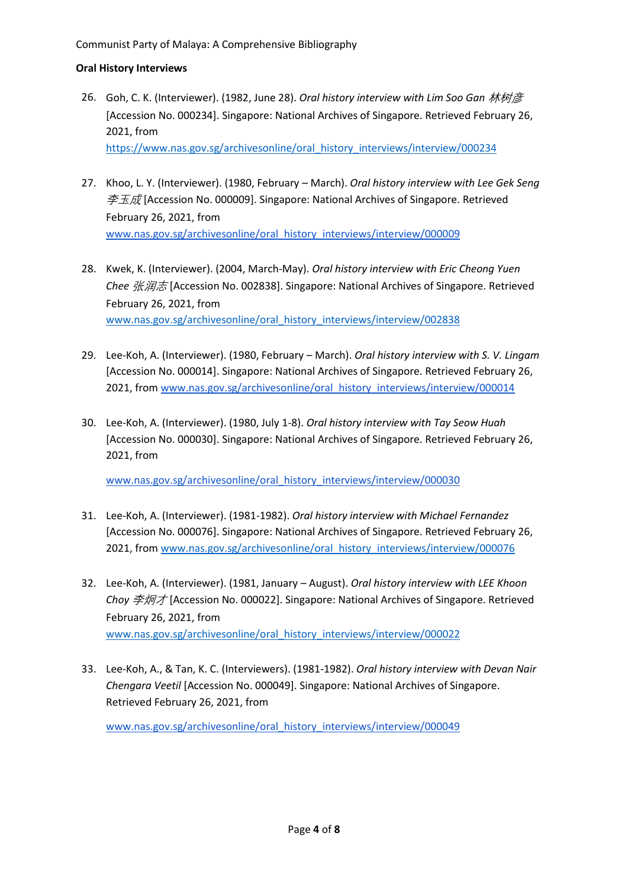- 26. Goh, C. K. (Interviewer). (1982, June 28). *Oral history interview with Lim Soo Gan* 林树彦 [Accession No. 000234]. Singapore: National Archives of Singapore. Retrieved February 26, 2021, from [https://www.nas.gov.sg/archivesonline/oral\\_history\\_interviews/interview/000234](https://www.nas.gov.sg/archivesonline/oral_history_interviews/interview/000234)
- 27. Khoo, L. Y. (Interviewer). (1980, February March). *Oral history interview with Lee Gek Seng*  $\overline{\mathcal{Z}} \overline{\mathcal{Z}}$  (Accession No. 000009]. Singapore: National Archives of Singapore. Retrieved February 26, 2021, from [www.nas.gov.sg/archivesonline/oral\\_history\\_interviews/interview/000009](http://www.nas.gov.sg/archivesonline/oral_history_interviews/interview/000009)
- 28. Kwek, K. (Interviewer). (2004, March-May). *Oral history interview with Eric Cheong Yuen Chee* 张润志 [Accession No. 002838]. Singapore: National Archives of Singapore. Retrieved February 26, 2021, from [www.nas.gov.sg/archivesonline/oral\\_history\\_interviews/interview/002838](http://www.nas.gov.sg/archivesonline/oral_history_interviews/interview/002838)
- 29. Lee-Koh, A. (Interviewer). (1980, February March). *Oral history interview with S. V. Lingam* [Accession No. 000014]. Singapore: National Archives of Singapore. Retrieved February 26, 2021, from [www.nas.gov.sg/archivesonline/oral\\_history\\_interviews/interview/000014](http://www.nas.gov.sg/archivesonline/oral_history_interviews/interview/000014)
- 30. Lee-Koh, A. (Interviewer). (1980, July 1-8). *Oral history interview with Tay Seow Huah* [Accession No. 000030]. Singapore: National Archives of Singapore. Retrieved February 26, 2021, from

[www.nas.gov.sg/archivesonline/oral\\_history\\_interviews/interview/000030](http://www.nas.gov.sg/archivesonline/oral_history_interviews/interview/000030)

- 31. Lee-Koh, A. (Interviewer). (1981-1982). *Oral history interview with Michael Fernandez* [Accession No. 000076]. Singapore: National Archives of Singapore. Retrieved February 26, 2021, from [www.nas.gov.sg/archivesonline/oral\\_history\\_interviews/interview/000076](http://www.nas.gov.sg/archivesonline/oral_history_interviews/interview/000076)
- 32. Lee-Koh, A. (Interviewer). (1981, January August). *Oral history interview with LEE Khoon Choy* 李炯才 [Accession No. 000022]. Singapore: National Archives of Singapore. Retrieved February 26, 2021, from [www.nas.gov.sg/archivesonline/oral\\_history\\_interviews/interview/000022](http://www.nas.gov.sg/archivesonline/oral_history_interviews/interview/000022)
- 33. Lee-Koh, A., & Tan, K. C. (Interviewers). (1981-1982). *Oral history interview with Devan Nair Chengara Veetil* [Accession No. 000049]. Singapore: National Archives of Singapore. Retrieved February 26, 2021, from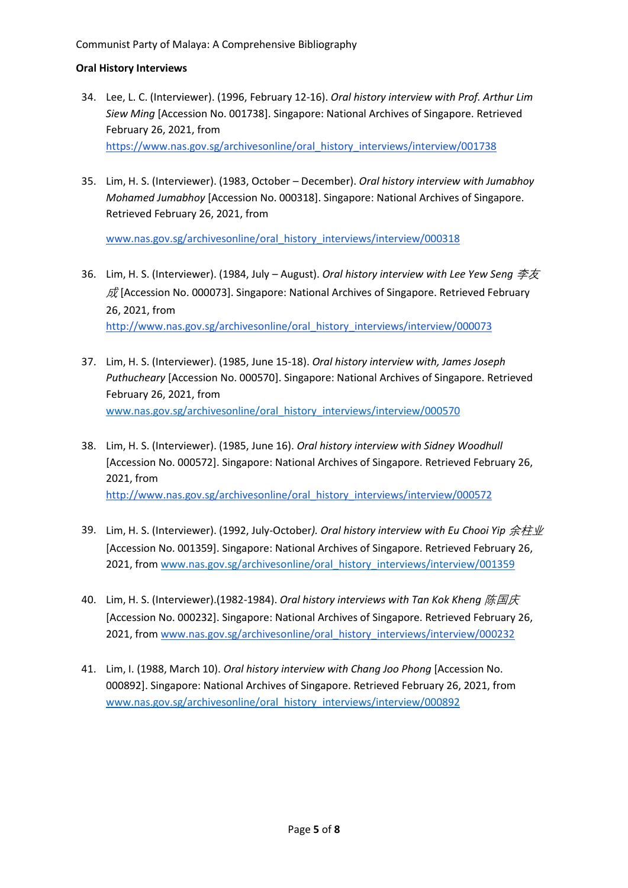#### Communist Party of Malaya: A Comprehensive Bibliography

#### **Oral History Interviews**

- 34. Lee, L. C. (Interviewer). (1996, February 12-16). *Oral history interview with Prof. Arthur Lim Siew Ming* [Accession No. 001738]. Singapore: National Archives of Singapore. Retrieved February 26, 2021, from [https://www.nas.gov.sg/archivesonline/oral\\_history\\_interviews/interview/001738](https://www.nas.gov.sg/archivesonline/oral_history_interviews/interview/001738)
- 35. Lim, H. S. (Interviewer). (1983, October December). *Oral history interview with Jumabhoy Mohamed Jumabhoy* [Accession No. 000318]. Singapore: National Archives of Singapore. Retrieved February 26, 2021, from

- 36. Lim, H. S. (Interviewer). (1984, July August). *Oral history interview with Lee Yew Seng* 李友  $\bar{E}$  [Accession No. 000073]. Singapore: National Archives of Singapore. Retrieved February 26, 2021, from [http://www.nas.gov.sg/archivesonline/oral\\_history\\_interviews/interview/000073](http://www.nas.gov.sg/archivesonline/oral_history_interviews/interview/000073)
- 37. Lim, H. S. (Interviewer). (1985, June 15-18). *Oral history interview with, James Joseph Puthucheary* [Accession No. 000570]. Singapore: National Archives of Singapore. Retrieved February 26, 2021, from [www.nas.gov.sg/archivesonline/oral\\_history\\_interviews/interview/000570](http://www.nas.gov.sg/archivesonline/oral_history_interviews/interview/000570)
- 38. Lim, H. S. (Interviewer). (1985, June 16). *Oral history interview with Sidney Woodhull* [Accession No. 000572]. Singapore: National Archives of Singapore. Retrieved February 26, 2021, from [http://www.nas.gov.sg/archivesonline/oral\\_history\\_interviews/interview/000572](http://www.nas.gov.sg/archivesonline/oral_history_interviews/interview/000572)
- 39. Lim, H. S. (Interviewer). (1992, July-October). Oral history interview with Eu Chooi Yip 余柱业 [Accession No. 001359]. Singapore: National Archives of Singapore. Retrieved February 26, 2021, from [www.nas.gov.sg/archivesonline/oral\\_history\\_interviews/interview/001359](http://www.nas.gov.sg/archivesonline/oral_history_interviews/interview/001359)
- 40. Lim, H. S. (Interviewer).(1982-1984). *Oral history interviews with Tan Kok Kheng* 陈国庆 [Accession No. 000232]. Singapore: National Archives of Singapore. Retrieved February 26, 2021, from [www.nas.gov.sg/archivesonline/oral\\_history\\_interviews/interview/000232](http://www.nas.gov.sg/archivesonline/oral_history_interviews/interview/000232)
- 41. Lim, I. (1988, March 10). *Oral history interview with Chang Joo Phong* [Accession No. 000892]. Singapore: National Archives of Singapore. Retrieved February 26, 2021, from [www.nas.gov.sg/archivesonline/oral\\_history\\_interviews/interview/000892](http://www.nas.gov.sg/archivesonline/oral_history_interviews/interview/000892)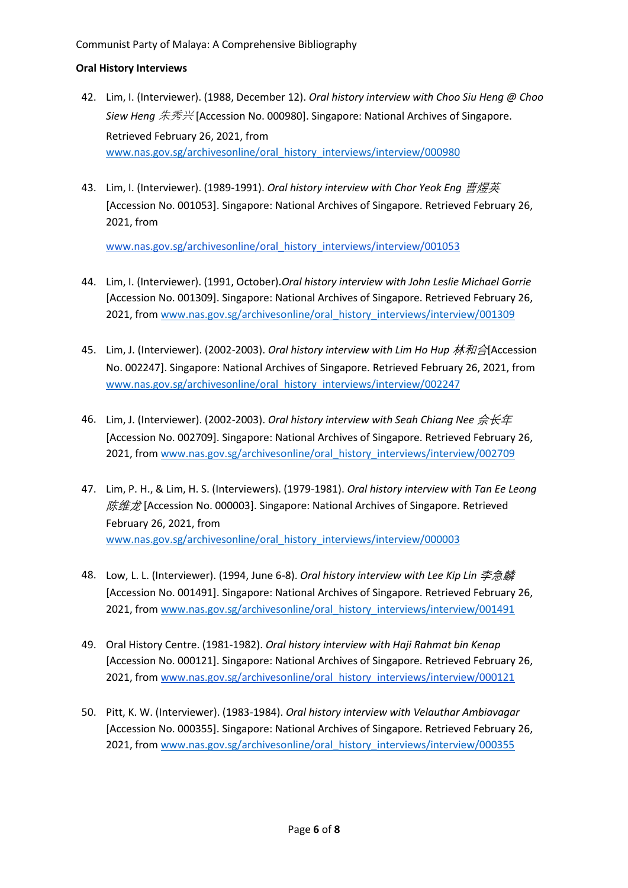- 42. Lim, I. (Interviewer). (1988, December 12). *Oral history interview with Choo Siu Heng @ Choo Siew Heng* 朱秀兴 [Accession No. 000980]. Singapore: National Archives of Singapore. Retrieved February 26, 2021, from [www.nas.gov.sg/archivesonline/oral\\_history\\_interviews/interview/000980](http://www.nas.gov.sg/archivesonline/oral_history_interviews/interview/000980)
- 43. Lim, I. (Interviewer). (1989-1991). *Oral history interview with Chor Yeok Eng* 曹煜英 [Accession No. 001053]. Singapore: National Archives of Singapore. Retrieved February 26, 2021, from

- 44. Lim, I. (Interviewer). (1991, October).*Oral history interview with John Leslie Michael Gorrie* [Accession No. 001309]. Singapore: National Archives of Singapore. Retrieved February 26, 2021, from [www.nas.gov.sg/archivesonline/oral\\_history\\_interviews/interview/001309](http://www.nas.gov.sg/archivesonline/oral_history_interviews/interview/001309)
- 45. Lim, J. (Interviewer). (2002-2003). *Oral history interview with Lim Ho Hup* 林和合[Accession No. 002247]. Singapore: National Archives of Singapore. Retrieved February 26, 2021, from [www.nas.gov.sg/archivesonline/oral\\_history\\_interviews/interview/002247](http://www.nas.gov.sg/archivesonline/oral_history_interviews/interview/002247)
- 46. Lim, J. (Interviewer). (2002-2003). *Oral history interview with Seah Chiang Nee 佘长年* [Accession No. 002709]. Singapore: National Archives of Singapore. Retrieved February 26, 2021, from [www.nas.gov.sg/archivesonline/oral\\_history\\_interviews/interview/002709](http://www.nas.gov.sg/archivesonline/oral_history_interviews/interview/002709)
- 47. Lim, P. H., & Lim, H. S. (Interviewers). (1979-1981). *Oral history interview with Tan Ee Leong*  $K#E$  [Accession No. 000003]. Singapore: National Archives of Singapore. Retrieved February 26, 2021, from [www.nas.gov.sg/archivesonline/oral\\_history\\_interviews/interview/000003](http://www.nas.gov.sg/archivesonline/oral_history_interviews/interview/000003)
- 48. Low, L. L. (Interviewer). (1994, June 6-8). *Oral history interview with Lee Kip Lin* 李急麟 [Accession No. 001491]. Singapore: National Archives of Singapore. Retrieved February 26, 2021, from [www.nas.gov.sg/archivesonline/oral\\_history\\_interviews/interview/001491](http://www.nas.gov.sg/archivesonline/oral_history_interviews/interview/001491)
- 49. Oral History Centre. (1981-1982). *Oral history interview with Haji Rahmat bin Kenap* [Accession No. 000121]. Singapore: National Archives of Singapore. Retrieved February 26, 2021, from [www.nas.gov.sg/archivesonline/oral\\_history\\_interviews/interview/000121](http://www.nas.gov.sg/archivesonline/oral_history_interviews/interview/000121)
- 50. Pitt, K. W. (Interviewer). (1983-1984). *Oral history interview with Velauthar Ambiavagar* [Accession No. 000355]. Singapore: National Archives of Singapore. Retrieved February 26, 2021, from [www.nas.gov.sg/archivesonline/oral\\_history\\_interviews/interview/000355](http://www.nas.gov.sg/archivesonline/oral_history_interviews/interview/000355)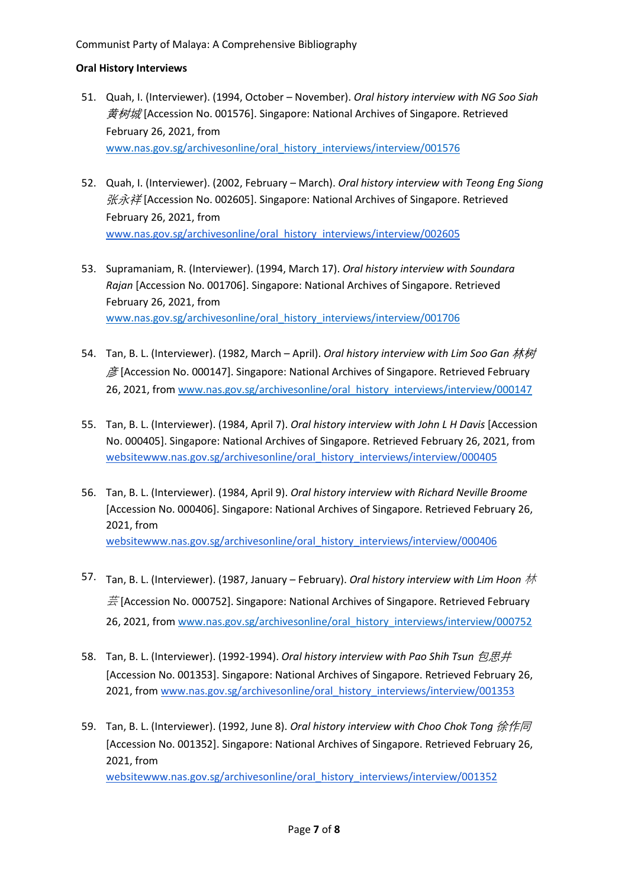- 51. Quah, I. (Interviewer). (1994, October November). *Oral history interview with NG Soo Siah*  $\frac{\text{#My}}{\text{#W}}$  [Accession No. 001576]. Singapore: National Archives of Singapore. Retrieved February 26, 2021, from [www.nas.gov.sg/archivesonline/oral\\_history\\_interviews/interview/001576](http://www.nas.gov.sg/archivesonline/oral_history_interviews/interview/001576)
- 52. Quah, I. (Interviewer). (2002, February March). *Oral history interview with Teong Eng Siong*  张永祥 [Accession No. 002605]. Singapore: National Archives of Singapore. Retrieved February 26, 2021, from [www.nas.gov.sg/archivesonline/oral\\_history\\_interviews/interview/002605](http://www.nas.gov.sg/archivesonline/oral_history_interviews/interview/002605)
- 53. Supramaniam, R. (Interviewer). (1994, March 17). *Oral history interview with Soundara Rajan* [Accession No. 001706]. Singapore: National Archives of Singapore. Retrieved February 26, 2021, from [www.nas.gov.sg/archivesonline/oral\\_history\\_interviews/interview/001706](http://www.nas.gov.sg/archivesonline/oral_history_interviews/interview/001706)
- 54. Tan, B. L. (Interviewer). (1982, March April). *Oral history interview with Lim Soo Gan* 林树  $\cancel{\mathcal{B}}$  [Accession No. 000147]. Singapore: National Archives of Singapore. Retrieved February 26, 2021, from [www.nas.gov.sg/archivesonline/oral\\_history\\_interviews/interview/000147](http://www.nas.gov.sg/archivesonline/oral_history_interviews/interview/000147)
- 55. Tan, B. L. (Interviewer). (1984, April 7). *Oral history interview with John L H Davis* [Accession No. 000405]. Singapore: National Archives of Singapore. Retrieved February 26, 2021, from [websitewww.nas.gov.sg/archivesonline/oral\\_history\\_interviews/interview/000405](http://www.nas.gov.sg/archivesonline/oral_history_interviews/interview/000405)
- 56. Tan, B. L. (Interviewer). (1984, April 9). *Oral history interview with Richard Neville Broome* [Accession No. 000406]. Singapore: National Archives of Singapore. Retrieved February 26, 2021, from [websitewww.nas.gov.sg/archivesonline/oral\\_history\\_interviews/interview/000406](http://www.nas.gov.sg/archivesonline/oral_history_interviews/interview/000406)
- 57. Tan, B. L. (Interviewer). (1987, January February). *Oral history interview with Lim Hoon* 林  $\ddot{\Xi}$  [Accession No. 000752]. Singapore: National Archives of Singapore. Retrieved February 26, 2021, from [www.nas.gov.sg/archivesonline/oral\\_history\\_interviews/interview/000752](http://www.nas.gov.sg/archivesonline/oral_history_interviews/interview/000752)
- 58. Tan, B. L. (Interviewer). (1992-1994). *Oral history interview with Pao Shih Tsun 包思井* [Accession No. 001353]. Singapore: National Archives of Singapore. Retrieved February 26, 2021, from [www.nas.gov.sg/archivesonline/oral\\_history\\_interviews/interview/001353](http://www.nas.gov.sg/archivesonline/oral_history_interviews/interview/001353)
- 59. Tan, B. L. (Interviewer). (1992, June 8). *Oral history interview with Choo Chok Tong* 徐作同 [Accession No. 001352]. Singapore: National Archives of Singapore. Retrieved February 26, 2021, from [websitewww.nas.gov.sg/archivesonline/oral\\_history\\_interviews/interview/001352](http://websitewww.nas.gov.sg/archivesonline/oral_history_interviews/interview/001352)